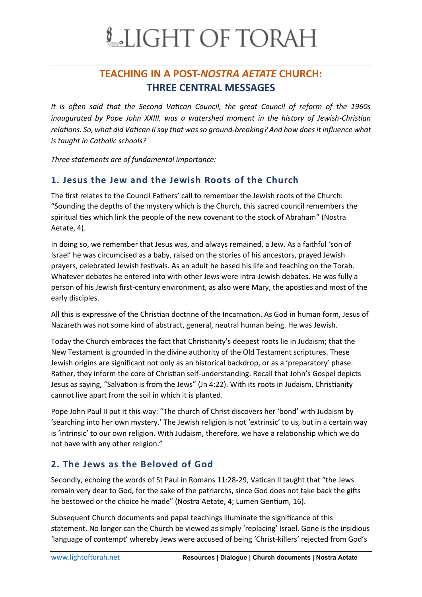### **TEACHING IN A POST-***NOSTRA AETATE* **CHURCH: THREE CENTRAL MESSAGES**

*It is often said that the Second Vatican Council, the great Council of reform of the 1960s inaugurated by Pope John XXIII, was a watershed moment in the history of Jewish-Christian relations. So, what did Vatican II say that was so ground-breaking? And how does it influence what is taught in Catholic schools?* 

*Three statements are of fundamental importance:*

### **1. Jesus the Jew and the Jewish Roots of the Church**

The first relates to the Council Fathers' call to remember the Jewish roots of the Church: "Sounding the depths of the mystery which is the Church, this sacred council remembers the spiritual ties which link the people of the new covenant to the stock of Abraham" (Nostra Aetate, 4).

In doing so, we remember that Jesus was, and always remained, a Jew. As a faithful 'son of Israel' he was circumcised as a baby, raised on the stories of his ancestors, prayed Jewish prayers, celebrated Jewish festivals. As an adult he based his life and teaching on the Torah. Whatever debates he entered into with other Jews were intra-Jewish debates. He was fully a person of his Jewish first-century environment, as also were Mary, the apostles and most of the early disciples.

All this is expressive of the Christian doctrine of the Incarnation. As God in human form, Jesus of Nazareth was not some kind of abstract, general, neutral human being. He was Jewish.

Today the Church embraces the fact that Christianity's deepest roots lie in Judaism; that the New Testament is grounded in the divine authority of the Old Testament scriptures. These Jewish origins are significant not only as an historical backdrop, or as a 'preparatory' phase. Rather, they inform the core of Christian self-understanding. Recall that John's Gospel depicts Jesus as saying, "Salvation is from the Jews" (Jn 4:22). With its roots in Judaism, Christianity cannot live apart from the soil in which it is planted.

Pope John Paul II put it this way: "The church of Christ discovers her 'bond' with Judaism by 'searching into her own mystery.' The Jewish religion is not 'extrinsic' to us, but in a certain way is 'intrinsic' to our own religion. With Judaism, therefore, we have a relationship which we do not have with any other religion."

### **2. The Jews as the Beloved of God**

Secondly, echoing the words of St Paul in Romans 11:28-29, Vatican II taught that "the Jews remain very dear to God, for the sake of the patriarchs, since God does not take back the gifts he bestowed or the choice he made" (Nostra Aetate, 4; Lumen Gentium, 16).

Subsequent Church documents and papal teachings illuminate the significance of this statement. No longer can the Church be viewed as simply 'replacing' Israel. Gone is the insidious 'language of contempt' whereby Jews were accused of being 'Christ-killers' rejected from God's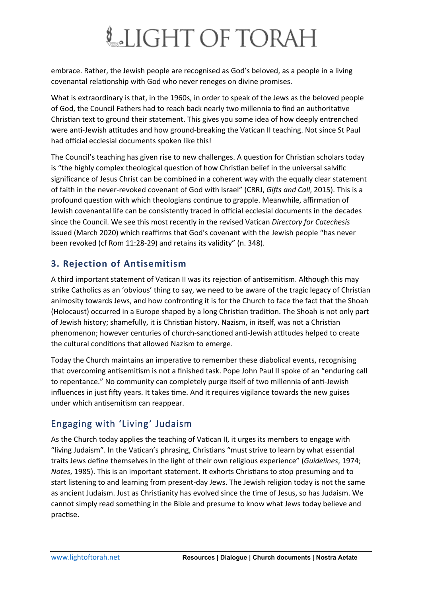# LIGHT OF TORAH

embrace. Rather, the Jewish people are recognised as God's beloved, as a people in a living covenantal relationship with God who never reneges on divine promises.

What is extraordinary is that, in the 1960s, in order to speak of the Jews as the beloved people of God, the Council Fathers had to reach back nearly two millennia to find an authoritative Christian text to ground their statement. This gives you some idea of how deeply entrenched were anti-Jewish attitudes and how ground-breaking the Vatican II teaching. Not since St Paul had official ecclesial documents spoken like this!

The Council's teaching has given rise to new challenges. A question for Christian scholars today is "the highly complex theological question of how Christian belief in the universal salvific significance of Jesus Christ can be combined in a coherent way with the equally clear statement of faith in the never-revoked covenant of God with Israel" (CRRJ, *Gifts and Call*, 2015). This is a profound question with which theologians continue to grapple. Meanwhile, affirmation of Jewish covenantal life can be consistently traced in official ecclesial documents in the decades since the Council. We see this most recently in the revised Vatican *Directory for Catechesis* issued (March 2020) which reaffirms that God's covenant with the Jewish people "has never been revoked (cf Rom 11:28-29) and retains its validity" (n. 348).

### **3. Rejection of Antisemitism**

A third important statement of Vatican II was its rejection of antisemitism. Although this may strike Catholics as an 'obvious' thing to say, we need to be aware of the tragic legacy of Christian animosity towards Jews, and how confronting it is for the Church to face the fact that the Shoah (Holocaust) occurred in a Europe shaped by a long Christian tradition. The Shoah is not only part of Jewish history; shamefully, it is Christian history. Nazism, in itself, was not a Christian phenomenon; however centuries of church-sanctioned anti-Jewish attitudes helped to create the cultural conditions that allowed Nazism to emerge.

Today the Church maintains an imperative to remember these diabolical events, recognising that overcoming antisemitism is not a finished task. Pope John Paul II spoke of an "enduring call to repentance." No community can completely purge itself of two millennia of anti-Jewish influences in just fifty years. It takes time. And it requires vigilance towards the new guises under which antisemitism can reappear.

### Engaging with 'Living' Judaism

As the Church today applies the teaching of Vatican II, it urges its members to engage with "living Judaism". In the Vatican's phrasing, Christians "must strive to learn by what essential traits Jews define themselves in the light of their own religious experience" (*Guidelines*, 1974; *Notes*, 1985). This is an important statement. It exhorts Christians to stop presuming and to start listening to and learning from present-day Jews. The Jewish religion today is not the same as ancient Judaism. Just as Christianity has evolved since the time of Jesus, so has Judaism. We cannot simply read something in the Bible and presume to know what Jews today believe and practise.